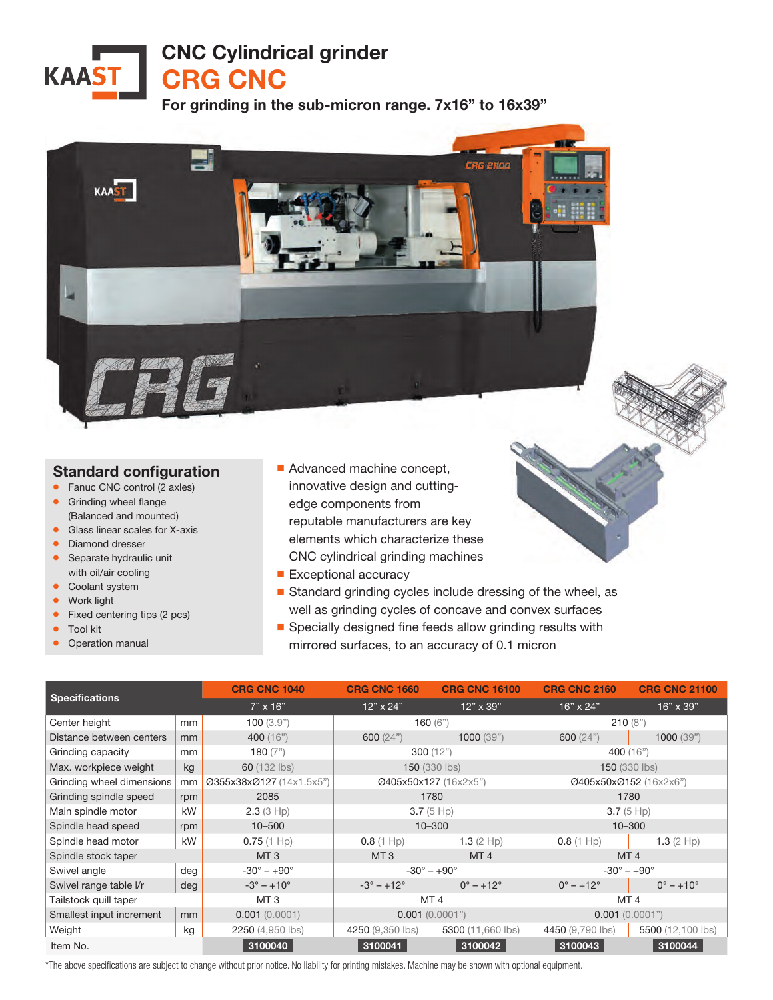CNC Cylindrical grinder

CRG CNC

For grinding in the sub-micron range. 7x16" to 16x39"



## Standard configuration

- Fanuc CNC control (2 axles)
- **•** Grinding wheel flange (Balanced and mounted)
- Glass linear scales for X-axis
- Diamond dresser
- Separate hydraulic unit with oil/air cooling
- Coolant system
- Work light

**KAAST** 

- Fixed centering tips (2 pcs)
- Tool kit
- **Operation manual**
- Advanced machine concept, innovative design and cuttingedge components from reputable manufacturers are key elements which characterize these CNC cylindrical grinding machines
- Exceptional accuracy
- Standard grinding cycles include dressing of the wheel, as well as grinding cycles of concave and convex surfaces
- Specially designed fine feeds allow grinding results with mirrored surfaces, to an accuracy of 0.1 micron

| <b>Specifications</b>     |     | <b>CRG CNC 1040</b>        | <b>CRG CNC 1660</b>        | <b>CRG CNC 16100</b>      | <b>CRG CNC 2160</b>         | <b>CRG CNC 21100</b>  |
|---------------------------|-----|----------------------------|----------------------------|---------------------------|-----------------------------|-----------------------|
|                           |     | $7" \times 16"$            | $12" \times 24"$           | $12" \times 39"$          | $16" \times 24"$            | 16" x 39"             |
| Center height             | mm  | 100(3.9")                  | 160 $(6")$                 |                           | 210(8")                     |                       |
| Distance between centers  | mm  | 400 (16")                  | 600(24")                   | 1000(39")                 | 600(24")                    | 1000(39")             |
| Grinding capacity         | mm  | 180 $(7")$                 | 300(12")                   |                           | 400 (16")                   |                       |
| Max. workpiece weight     | kg  | 60 (132 lbs)               | <b>150 (330 lbs)</b>       |                           | <b>150 (330 lbs)</b>        |                       |
| Grinding wheel dimensions | mm  | Ø355x38xØ127 (14x1.5x5")   | Ø405x50x127 (16x2x5")      |                           | Ø405x50xØ152 (16x2x6")      |                       |
| Grinding spindle speed    | rpm | 2085                       | 1780                       |                           | 1780                        |                       |
| Main spindle motor        | kW  | 2.3(3 Hp)                  | $3.7(5$ Hp)                |                           | $3.7(5$ Hp)                 |                       |
| Spindle head speed        | rpm | $10 - 500$                 | $10 - 300$                 |                           | $10 - 300$                  |                       |
| Spindle head motor        | kW  | $0.75(1$ Hp)               | $0.8(1 \text{ Hp})$        | 1.3 $(2 \text{ Hp})$      | $0.8(1 \text{ Hp})$         | 1.3 $(2 \text{ Hp})$  |
| Spindle stock taper       |     | MT <sub>3</sub>            | MT <sub>3</sub>            | MT <sub>4</sub>           | MT <sub>4</sub>             |                       |
| Swivel angle              | deg | $-30^\circ - +90^\circ$    | $-30^\circ - +90^\circ$    |                           | $-30^{\circ} - +90^{\circ}$ |                       |
| Swivel range table I/r    | deg | $-3^{\circ} - +10^{\circ}$ | $-3^{\circ} - +12^{\circ}$ | $0^{\circ} - +12^{\circ}$ | $0^\circ - +12^\circ$       | $0^\circ - +10^\circ$ |
| Tailstock quill taper     |     | MT <sub>3</sub>            | MT <sub>4</sub>            |                           | MT <sub>4</sub>             |                       |
| Smallest input increment  | mm  | 0.001(0.0001)              | 0.001(0.0001")             |                           | $0.001$ $(0.0001")$         |                       |
| Weight                    | kg  | 2250 (4,950 lbs)           | 4250 (9,350 lbs)           | 5300 (11,660 lbs)         | 4450 (9,790 lbs)            | 5500 (12,100 lbs)     |
| Item No.                  |     | 3100040                    | 3100041                    | 3100042                   | 3100043                     | 3100044               |

\*The above specifications are subject to change without prior notice. No liability for printing mistakes. Machine may be shown with optional equipment.